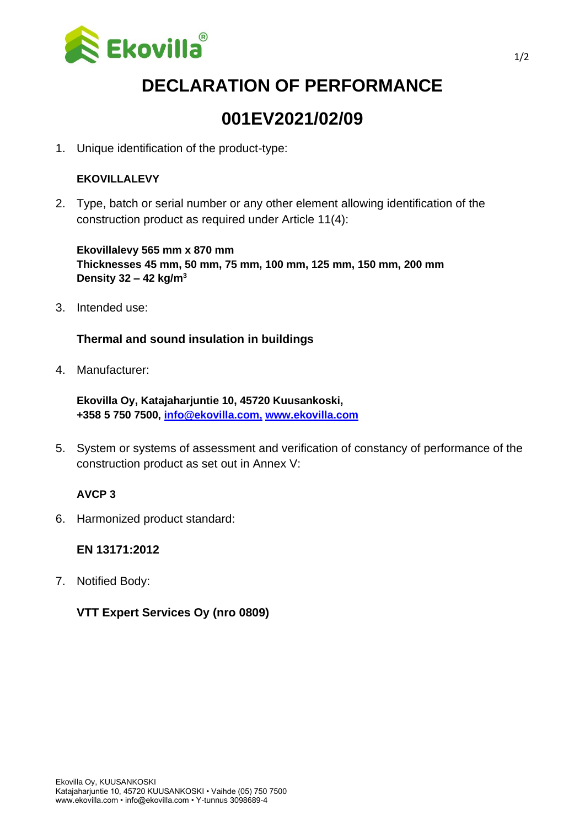

# **DECLARATION OF PERFORMANCE**

## **001EV2021/02/09**

1. Unique identification of the product-type:

#### **EKOVILLALEVY**

2. Type, batch or serial number or any other element allowing identification of the construction product as required under Article 11(4):

**Ekovillalevy 565 mm x 870 mm Thicknesses 45 mm, 50 mm, 75 mm, 100 mm, 125 mm, 150 mm, 200 mm Density 32 – 42 kg/m<sup>3</sup>**

3. Intended use:

#### **Thermal and sound insulation in buildings**

4. Manufacturer:

**Ekovilla Oy, Katajaharjuntie 10, 45720 Kuusankoski, +358 5 750 7500, [info@ekovilla.com,](mailto:info@ekovilla.com) [www.ekovilla.com](https://ekovilla.com/)**

5. System or systems of assessment and verification of constancy of performance of the construction product as set out in Annex V:

#### **AVCP 3**

6. Harmonized product standard:

**EN 13171:2012**

7. Notified Body:

#### **VTT Expert Services Oy (nro 0809)**